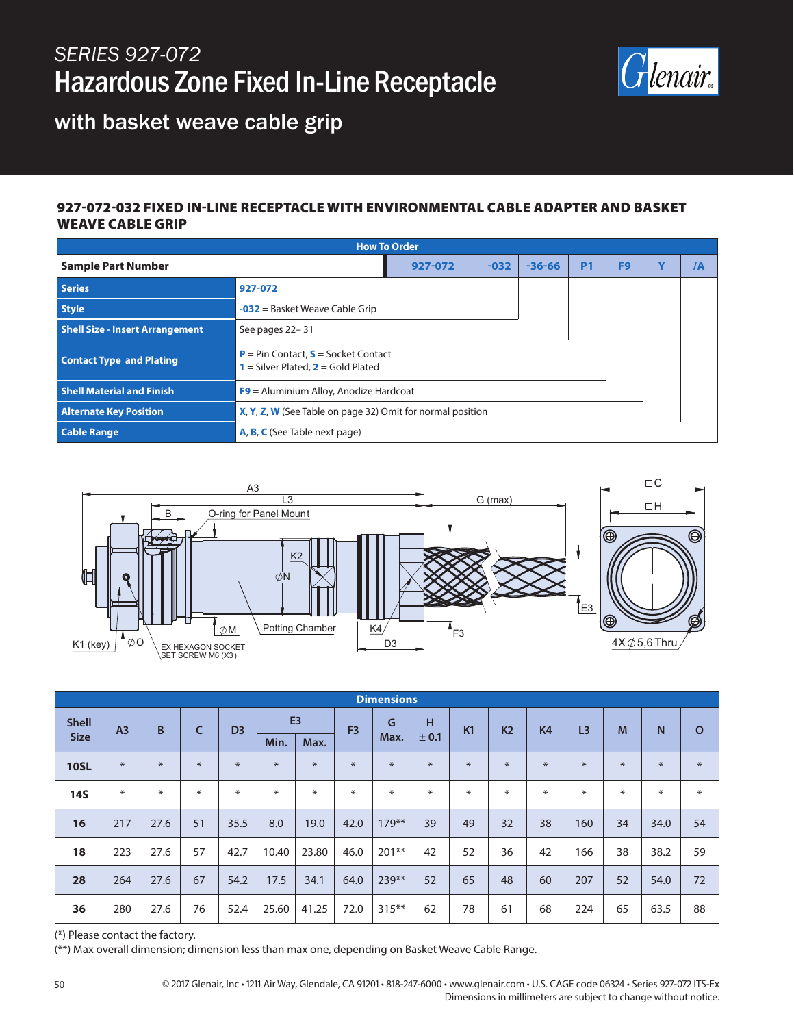## *SERIES 927-072* Hazardous Zone Fixed In-Line Receptacle



with basket weave cable grip

## 927-072-032 FIXED IN-LINE RECEPTACLE WITH ENVIRONMENTAL CABLE ADAPTER AND BASKET WEAVE CABLE GRIP

| <b>How To Order</b>                    |                                                                                      |        |            |           |                |                         |    |  |
|----------------------------------------|--------------------------------------------------------------------------------------|--------|------------|-----------|----------------|-------------------------|----|--|
| <b>Sample Part Number</b>              | 927-072                                                                              | $-032$ | $-36 - 66$ | <b>P1</b> | F <sub>9</sub> | $\overline{\mathbf{v}}$ | /A |  |
| <b>Series</b>                          | 927-072                                                                              |        |            |           |                |                         |    |  |
| <b>Style</b>                           | $-032$ = Basket Weave Cable Grip                                                     |        |            |           |                |                         |    |  |
| <b>Shell Size - Insert Arrangement</b> | See pages 22-31                                                                      |        |            |           |                |                         |    |  |
| <b>Contact Type and Plating</b>        | $P = Pin Contact, S = Socket Contact$<br><b>1</b> = Silver Plated, $2$ = Gold Plated |        |            |           |                |                         |    |  |
| <b>Shell Material and Finish</b>       | F9 = Aluminium Alloy, Anodize Hardcoat                                               |        |            |           |                |                         |    |  |
| <b>Alternate Key Position</b>          | X, Y, Z, W (See Table on page 32) Omit for normal position                           |        |            |           |                |                         |    |  |
| <b>Cable Range</b>                     | A, B, C (See Table next page)                                                        |        |            |           |                |                         |    |  |



| <b>Dimensions</b> |                |        |     |                |                |        |                |          |        |           |                |                |                |        |              |              |
|-------------------|----------------|--------|-----|----------------|----------------|--------|----------------|----------|--------|-----------|----------------|----------------|----------------|--------|--------------|--------------|
| <b>Shell</b>      | A <sub>3</sub> | B      | C   | D <sub>3</sub> | E <sub>3</sub> |        | F <sub>3</sub> | G        | н      | <b>K1</b> | K <sub>2</sub> | K <sub>4</sub> | L <sub>3</sub> | M      | $\mathsf{N}$ | $\mathbf{o}$ |
| <b>Size</b>       |                |        |     |                | Min.           | Max.   |                | Max.     | ± 0.1  |           |                |                |                |        |              |              |
| <b>10SL</b>       | $*$            | $\ast$ | $*$ | $*$            | $*$            | $\ast$ | $*$            | $\ast$   | $\ast$ | $*$       | $*$            | $*$            | $*$            | $*$    | $\ast$       | $\ast$       |
| <b>14S</b>        | $\ast$         | $\ast$ | ⋇   | $*$            | $\ast$         | $\ast$ | $*$            | $*$      | $*$    | $*$       | $*$            | $\ast$         | $\ast$         | $\ast$ | $\ast$       | $\ast$       |
| 16                | 217            | 27.6   | 51  | 35.5           | 8.0            | 19.0   | 42.0           | $179***$ | 39     | 49        | 32             | 38             | 160            | 34     | 34.0         | 54           |
| 18                | 223            | 27.6   | 57  | 42.7           | 10.40          | 23.80  | 46.0           | $201**$  | 42     | 52        | 36             | 42             | 166            | 38     | 38.2         | 59           |
| 28                | 264            | 27.6   | 67  | 54.2           | 17.5           | 34.1   | 64.0           | 239**    | 52     | 65        | 48             | 60             | 207            | 52     | 54.0         | 72           |
| 36                | 280            | 27.6   | 76  | 52.4           | 25.60          | 41.25  | 72.0           | $315***$ | 62     | 78        | 61             | 68             | 224            | 65     | 63.5         | 88           |

(\*) Please contact the factory.

(\*\*) Max overall dimension; dimension less than max one, depending on Basket Weave Cable Range.